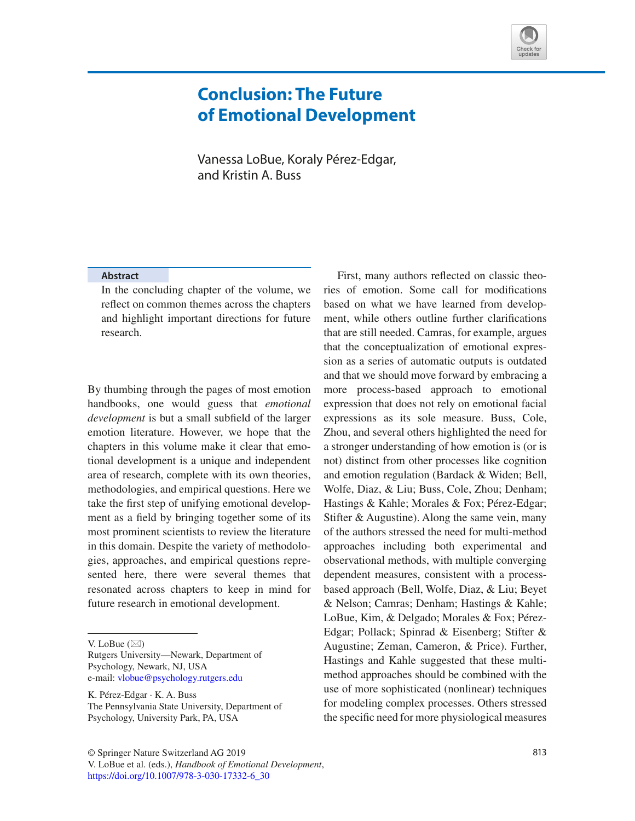

## **Conclusion: The Future of Emotional Development**

Vanessa LoBue, Koraly Pérez-Edgar, and Kristin A. Buss

## **Abstract**

In the concluding chapter of the volume, we refect on common themes across the chapters and highlight important directions for future research.

By thumbing through the pages of most emotion handbooks, one would guess that *emotional development* is but a small subfeld of the larger emotion literature. However, we hope that the chapters in this volume make it clear that emotional development is a unique and independent area of research, complete with its own theories, methodologies, and empirical questions. Here we take the frst step of unifying emotional development as a feld by bringing together some of its most prominent scientists to review the literature in this domain. Despite the variety of methodologies, approaches, and empirical questions represented here, there were several themes that resonated across chapters to keep in mind for future research in emotional development.

Rutgers University—Newark, Department of Psychology, Newark, NJ, USA e-mail: vlobue@psychology.rutgers.edu

K. Pérez-Edgar · K. A. Buss The Pennsylvania State University, Department of Psychology, University Park, PA, USA

First, many authors refected on classic theories of emotion. Some call for modifcations based on what we have learned from development, while others outline further clarifcations that are still needed. Camras, for example, argues that the conceptualization of emotional expression as a series of automatic outputs is outdated and that we should move forward by embracing a more process-based approach to emotional expression that does not rely on emotional facial expressions as its sole measure. Buss, Cole, Zhou, and several others highlighted the need for a stronger understanding of how emotion is (or is not) distinct from other processes like cognition and emotion regulation (Bardack & Widen; Bell, Wolfe, Diaz, & Liu; Buss, Cole, Zhou; Denham; Hastings & Kahle; Morales & Fox; Pérez-Edgar; Stifter & Augustine). Along the same vein, many of the authors stressed the need for multi-method approaches including both experimental and observational methods, with multiple converging dependent measures, consistent with a processbased approach (Bell, Wolfe, Diaz, & Liu; Beyet & Nelson; Camras; Denham; Hastings & Kahle; LoBue, Kim, & Delgado; Morales & Fox; Pérez-Edgar; Pollack; Spinrad & Eisenberg; Stifter & Augustine; Zeman, Cameron, & Price). Further, Hastings and Kahle suggested that these multimethod approaches should be combined with the use of more sophisticated (nonlinear) techniques for modeling complex processes. Others stressed the specifc need for more physiological measures

© Springer Nature Switzerland AG 2019 813 V. LoBue et al. (eds.), *Handbook of Emotional Development*,

https://doi.org/10.1007/978-3-030-17332-6\_30

V. LoBue  $(\boxtimes)$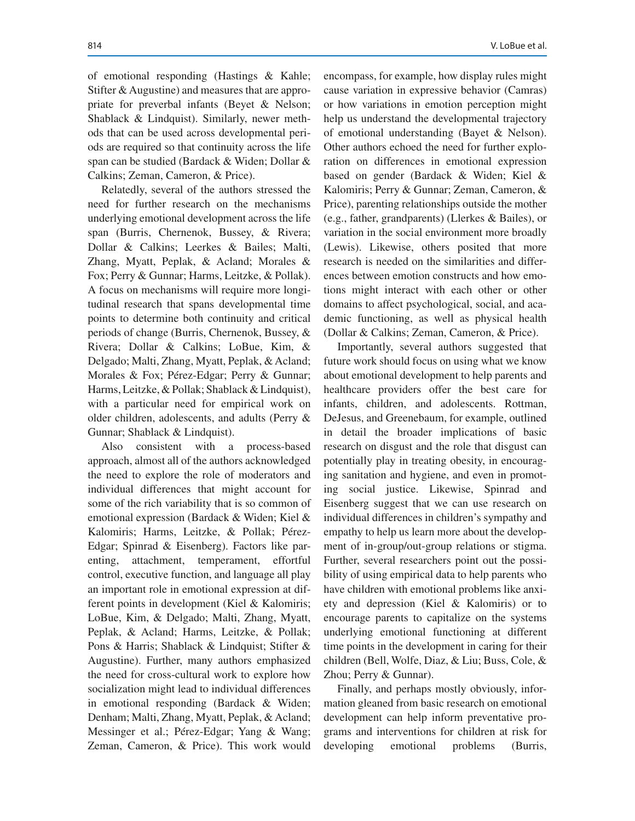of emotional responding (Hastings & Kahle; Stifter & Augustine) and measures that are appropriate for preverbal infants (Beyet & Nelson; Shablack & Lindquist). Similarly, newer methods that can be used across developmental periods are required so that continuity across the life span can be studied (Bardack & Widen; Dollar & Calkins; Zeman, Cameron, & Price).

Relatedly, several of the authors stressed the need for further research on the mechanisms underlying emotional development across the life span (Burris, Chernenok, Bussey, & Rivera; Dollar & Calkins; Leerkes & Bailes; Malti, Zhang, Myatt, Peplak, & Acland; Morales & Fox; Perry & Gunnar; Harms, Leitzke, & Pollak). A focus on mechanisms will require more longitudinal research that spans developmental time points to determine both continuity and critical periods of change (Burris, Chernenok, Bussey, & Rivera; Dollar & Calkins; LoBue, Kim, & Delgado; Malti, Zhang, Myatt, Peplak, & Acland; Morales & Fox; Pérez-Edgar; Perry & Gunnar; Harms, Leitzke, & Pollak; Shablack & Lindquist), with a particular need for empirical work on older children, adolescents, and adults (Perry & Gunnar; Shablack & Lindquist).

Also consistent with a process-based approach, almost all of the authors acknowledged the need to explore the role of moderators and individual differences that might account for some of the rich variability that is so common of emotional expression (Bardack & Widen; Kiel & Kalomiris; Harms, Leitzke, & Pollak; Pérez-Edgar; Spinrad & Eisenberg). Factors like parenting, attachment, temperament, effortful control, executive function, and language all play an important role in emotional expression at different points in development (Kiel & Kalomiris; LoBue, Kim, & Delgado; Malti, Zhang, Myatt, Peplak, & Acland; Harms, Leitzke, & Pollak; Pons & Harris; Shablack & Lindquist; Stifter & Augustine). Further, many authors emphasized the need for cross-cultural work to explore how socialization might lead to individual differences in emotional responding (Bardack & Widen; Denham; Malti, Zhang, Myatt, Peplak, & Acland; Messinger et al.; Pérez-Edgar; Yang & Wang; Zeman, Cameron, & Price). This work would encompass, for example, how display rules might cause variation in expressive behavior (Camras) or how variations in emotion perception might help us understand the developmental trajectory of emotional understanding (Bayet & Nelson). Other authors echoed the need for further exploration on differences in emotional expression based on gender (Bardack & Widen; Kiel & Kalomiris; Perry & Gunnar; Zeman, Cameron, & Price), parenting relationships outside the mother (e.g., father, grandparents) (Llerkes & Bailes), or variation in the social environment more broadly (Lewis). Likewise, others posited that more research is needed on the similarities and differences between emotion constructs and how emotions might interact with each other or other domains to affect psychological, social, and academic functioning, as well as physical health (Dollar & Calkins; Zeman, Cameron, & Price).

Importantly, several authors suggested that future work should focus on using what we know about emotional development to help parents and healthcare providers offer the best care for infants, children, and adolescents. Rottman, DeJesus, and Greenebaum, for example, outlined in detail the broader implications of basic research on disgust and the role that disgust can potentially play in treating obesity, in encouraging sanitation and hygiene, and even in promoting social justice. Likewise, Spinrad and Eisenberg suggest that we can use research on individual differences in children's sympathy and empathy to help us learn more about the development of in-group/out-group relations or stigma. Further, several researchers point out the possibility of using empirical data to help parents who have children with emotional problems like anxiety and depression (Kiel & Kalomiris) or to encourage parents to capitalize on the systems underlying emotional functioning at different time points in the development in caring for their children (Bell, Wolfe, Diaz, & Liu; Buss, Cole, & Zhou; Perry & Gunnar).

Finally, and perhaps mostly obviously, information gleaned from basic research on emotional development can help inform preventative programs and interventions for children at risk for developing emotional problems (Burris,